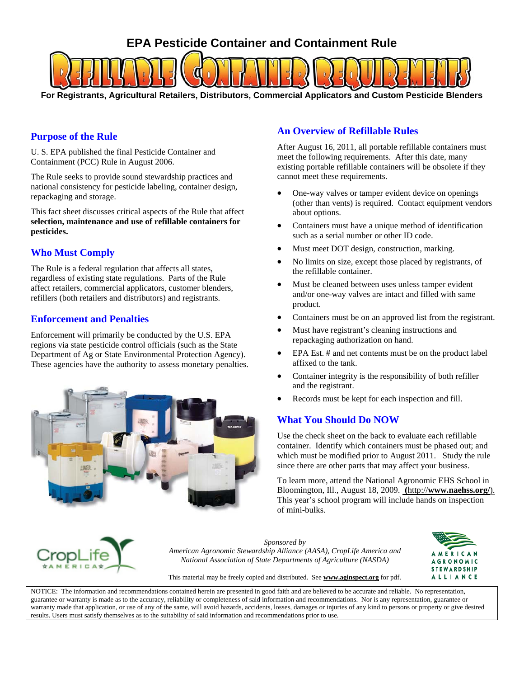# **EPA Pesticide Container and Containment Rule**

**For Registrants, Agricultural Retailers, Distributors, Commercial Applicators and Custom Pesticide Blenders**

## **Purpose of the Rule**

U. S. EPA published the final Pesticide Container and Containment (PCC) Rule in August 2006.

The Rule seeks to provide sound stewardship practices and national consistency for pesticide labeling, container design, repackaging and storage.

This fact sheet discusses critical aspects of the Rule that affect **selection, maintenance and use of refillable containers for pesticides.** 

# **Who Must Comply**

The Rule is a federal regulation that affects all states, regardless of existing state regulations. Parts of the Rule affect retailers, commercial applicators, customer blenders, refillers (both retailers and distributors) and registrants.

## **Enforcement and Penalties**

Enforcement will primarily be conducted by the U.S. EPA regions via state pesticide control officials (such as the State Department of Ag or State Environmental Protection Agency). These agencies have the authority to assess monetary penalties.



# **An Overview of Refillable Rules**

After August 16, 2011, all portable refillable containers must meet the following requirements. After this date, many existing portable refillable containers will be obsolete if they cannot meet these requirements.

- One-way valves or tamper evident device on openings (other than vents) is required. Contact equipment vendors about options.
- Containers must have a unique method of identification such as a serial number or other ID code.
- Must meet DOT design, construction, marking.
- No limits on size, except those placed by registrants, of the refillable container.
- Must be cleaned between uses unless tamper evident and/or one-way valves are intact and filled with same product.
- Containers must be on an approved list from the registrant.
- Must have registrant's cleaning instructions and repackaging authorization on hand.
- EPA Est. # and net contents must be on the product label affixed to the tank.
- Container integrity is the responsibility of both refiller and the registrant.
- Records must be kept for each inspection and fill.

### **What You Should Do NOW**

Use the check sheet on the back to evaluate each refillable container. Identify which containers must be phased out; and which must be modified prior to August 2011. Study the rule since there are other parts that may affect your business.

To learn more, attend the National Agronomic EHS School in Bloomington, Ill., August 18, 2009. **(**http://**[www.naehss.org/](http://www.naehss.org/)**). This year's school program will include hands on inspection of mini-bulks.



*Sponsored by American Agronomic Stewardship Alliance (AASA), CropLife America and National Association of State Departments of Agriculture (NASDA)* 



This material may be freely copied and distributed. See **www.aginspect.org** for pdf.

NOTICE: The information and recommendations contained herein are presented in good faith and are believed to be accurate and reliable. No representation, guarantee or warranty is made as to the accuracy, reliability or completeness of said information and recommendations. Nor is any representation, guarantee or warranty made that application, or use of any of the same, will avoid hazards, accidents, losses, damages or injuries of any kind to persons or property or give desired results. Users must satisfy themselves as to the suitability of said information and recommendations prior to use.